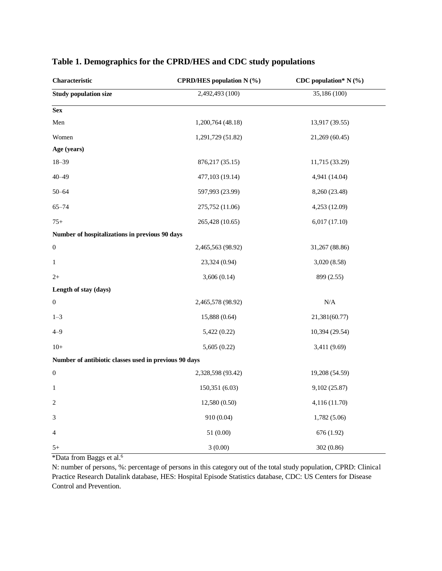| Characteristic                                        | <b>CPRD/HES</b> population N (%) | CDC population* $N$ (%) |  |  |
|-------------------------------------------------------|----------------------------------|-------------------------|--|--|
| <b>Study population size</b>                          | 2,492,493 (100)                  | 35,186 (100)            |  |  |
| <b>Sex</b>                                            |                                  |                         |  |  |
| Men                                                   | 1,200,764 (48.18)                | 13,917 (39.55)          |  |  |
| Women                                                 | 1,291,729 (51.82)                | 21,269 (60.45)          |  |  |
| Age (years)                                           |                                  |                         |  |  |
| $18 - 39$                                             | 876, 217 (35.15)                 | 11,715 (33.29)          |  |  |
| $40 - 49$                                             | 477,103 (19.14)                  | 4,941 (14.04)           |  |  |
| $50 - 64$                                             | 597,993 (23.99)                  | 8,260 (23.48)           |  |  |
| $65 - 74$                                             | 275,752 (11.06)                  | 4,253 (12.09)           |  |  |
| $75+$                                                 | 265,428 (10.65)                  | 6,017 (17.10)           |  |  |
| Number of hospitalizations in previous 90 days        |                                  |                         |  |  |
| $\boldsymbol{0}$                                      | 2,465,563 (98.92)                | 31,267 (88.86)          |  |  |
| $\mathbf{1}$                                          | 23,324 (0.94)                    | 3,020(8.58)             |  |  |
| $2+$                                                  | 3,606(0.14)                      | 899 (2.55)              |  |  |
| Length of stay (days)                                 |                                  |                         |  |  |
| $\boldsymbol{0}$                                      | 2,465,578 (98.92)                | $\rm N/A$               |  |  |
| $1 - 3$                                               | 15,888 (0.64)                    | 21,381(60.77)           |  |  |
| $4 - 9$                                               | 5,422 (0.22)                     | 10,394 (29.54)          |  |  |
| $10+$                                                 | 5,605(0.22)                      | 3,411 (9.69)            |  |  |
| Number of antibiotic classes used in previous 90 days |                                  |                         |  |  |
| $\boldsymbol{0}$                                      | 2,328,598 (93.42)                | 19,208 (54.59)          |  |  |
| 1                                                     | 150,351 (6.03)                   | 9,102 (25.87)           |  |  |
| $\overline{c}$                                        | 12,580 (0.50)                    | 4,116 (11.70)           |  |  |
| 3                                                     | 910 (0.04)                       | 1,782 (5.06)            |  |  |
| 4                                                     | 51 (0.00)                        | 676 (1.92)              |  |  |
| 5+                                                    | 3(0.00)                          | 302 (0.86)              |  |  |

## **Table 1. Demographics for the CPRD/HES and CDC study populations**

\*Data from Baggs et al.<sup>6</sup>

N: number of persons, %: percentage of persons in this category out of the total study population, CPRD: Clinical Practice Research Datalink database, HES: Hospital Episode Statistics database, CDC: US Centers for Disease Control and Prevention.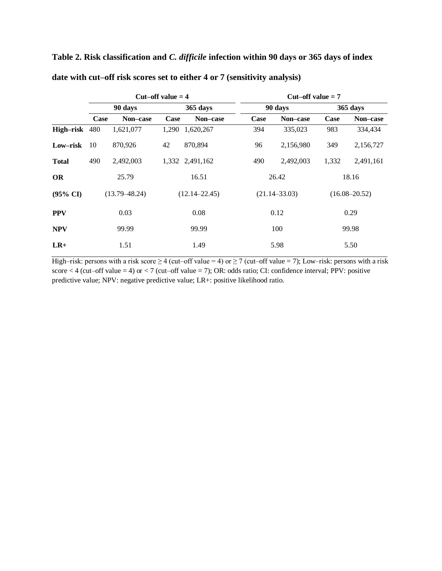**Table 2. Risk classification and** *C. difficile* **infection within 90 days or 365 days of index date with cut–off risk scores set to either 4 or 7 (sensitivity analysis)**

|                     | Cut–off value $=$ 4 |           |                   | $Cut-off value = 7$ |                   |           |                   |           |
|---------------------|---------------------|-----------|-------------------|---------------------|-------------------|-----------|-------------------|-----------|
|                     | 90 days             |           | 365 days          |                     | 90 days           |           | 365 days          |           |
|                     | Case                | Non-case  | <b>Case</b>       | Non-case            | Case              | Non-case  | Case              | Non-case  |
| High-risk 480       |                     | 1,621,077 | 1,290             | 1,620,267           | 394               | 335,023   | 983               | 334,434   |
| Low-risk            | 10                  | 870,926   | 42                | 870,894             | 96                | 2,156,980 | 349               | 2,156,727 |
| <b>Total</b>        | 490                 | 2,492,003 |                   | 1,332 2,491,162     | 490               | 2,492,003 | 1,332             | 2,491,161 |
| <b>OR</b>           |                     | 25.79     |                   | 16.51               |                   | 26.42     |                   | 18.16     |
| $(95\% \text{ CI})$ | $(13.79 - 48.24)$   |           | $(12.14 - 22.45)$ |                     | $(21.14 - 33.03)$ |           | $(16.08 - 20.52)$ |           |
| <b>PPV</b>          | 0.03                |           | 0.08              |                     | 0.12              |           | 0.29              |           |
| <b>NPV</b>          |                     | 99.99     |                   | 99.99               |                   | 100       |                   | 99.98     |
| $LR+$               | 1.51                |           | 1.49              |                     | 5.98              |           | 5.50              |           |

High–risk: persons with a risk score  $\geq 4$  (cut–off value = 4) or  $\geq 7$  (cut–off value = 7); Low–risk: persons with a risk score  $<$  4 (cut–off value = 4) or  $<$  7 (cut–off value = 7); OR: odds ratio; CI: confidence interval; PPV: positive predictive value; NPV: negative predictive value; LR+: positive likelihood ratio.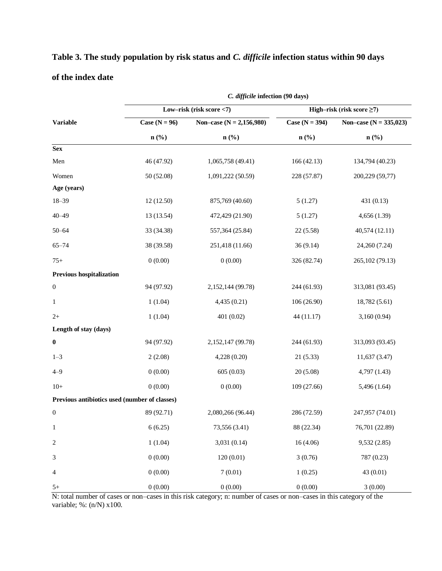|                   |  | Table 3. The study population by risk status and C. difficile infection status within 90 days |  |
|-------------------|--|-----------------------------------------------------------------------------------------------|--|
| of the index date |  |                                                                                               |  |

|                                               | C. difficile infection (90 days) |                            |                                 |                                       |  |  |  |
|-----------------------------------------------|----------------------------------|----------------------------|---------------------------------|---------------------------------------|--|--|--|
|                                               |                                  | Low-risk (risk score <7)   | High-risk (risk score $\geq$ 7) |                                       |  |  |  |
| <b>Variable</b>                               | Case $(N = 96)$                  | Non-case $(N = 2,156,980)$ | Case ( $N = 394$ )              | Non-case ( $N = 335,023$ )<br>$n$ (%) |  |  |  |
|                                               | $n$ (%)                          | $n$ (%)                    | $n\left(\frac{0}{0}\right)$     |                                       |  |  |  |
| <b>Sex</b>                                    |                                  |                            |                                 |                                       |  |  |  |
| Men                                           | 46 (47.92)                       | 1,065,758 (49.41)          | 166(42.13)                      | 134,794 (40.23)                       |  |  |  |
| Women                                         | 50 (52.08)                       | 1,091,222 (50.59)          | 228 (57.87)                     | 200,229 (59,77)                       |  |  |  |
| Age (years)                                   |                                  |                            |                                 |                                       |  |  |  |
| $18 - 39$                                     | 12 (12.50)                       | 875,769 (40.60)            | 5(1.27)                         | 431 (0.13)                            |  |  |  |
| $40 - 49$                                     | 13 (13.54)                       | 472,429 (21.90)            | 5(1.27)                         | 4,656 (1.39)                          |  |  |  |
| $50 - 64$                                     | 33 (34.38)                       | 557,364 (25.84)            | 22(5.58)                        | 40,574 (12.11)                        |  |  |  |
| $65 - 74$                                     | 38 (39.58)                       | 251,418 (11.66)            | 36(9.14)                        | 24,260 (7.24)                         |  |  |  |
| $75+$                                         | 0(0.00)                          | 0(0.00)                    | 326 (82.74)                     | 265,102 (79.13)                       |  |  |  |
| <b>Previous hospitalization</b>               |                                  |                            |                                 |                                       |  |  |  |
| $\boldsymbol{0}$                              | 94 (97.92)                       | 2,152,144 (99.78)          | 244 (61.93)                     | 313,081 (93.45)                       |  |  |  |
| 1                                             | 1(1.04)                          | 4,435(0.21)                | 106 (26.90)                     | 18,782 (5.61)                         |  |  |  |
| $2+$                                          | 1(1.04)                          | 401 (0.02)                 | 44 (11.17)                      | 3,160 (0.94)                          |  |  |  |
| Length of stay (days)                         |                                  |                            |                                 |                                       |  |  |  |
| $\boldsymbol{0}$                              | 94 (97.92)                       | 2,152,147 (99.78)          | 244 (61.93)                     | 313,093 (93.45)                       |  |  |  |
| $1 - 3$                                       | 2(2.08)                          | 4,228(0.20)                | 21(5.33)                        | 11,637 (3.47)                         |  |  |  |
| $4 - 9$                                       | 0(0.00)                          | 605(0.03)                  | 20(5.08)                        | 4,797 (1.43)                          |  |  |  |
| $10+$                                         | 0(0.00)                          | 0(0.00)                    | 109 (27.66)                     | 5,496 (1.64)                          |  |  |  |
| Previous antibiotics used (number of classes) |                                  |                            |                                 |                                       |  |  |  |
| $\boldsymbol{0}$                              | 89 (92.71)                       | 2,080,266 (96.44)          | 286 (72.59)                     | 247,957 (74.01)                       |  |  |  |
| $\mathbf{1}$                                  | 6(6.25)                          | 73,556 (3.41)              | 88 (22.34)                      | 76,701 (22.89)                        |  |  |  |
| $\overline{c}$                                | 1(1.04)                          | 3,031 (0.14)               | 16(4.06)                        | 9,532 (2.85)                          |  |  |  |
| $\mathfrak 3$                                 | 0(0.00)                          | 120(0.01)                  | 3(0.76)                         | 787 (0.23)                            |  |  |  |
| 4                                             | 0(0.00)                          | 7(0.01)                    | 1(0.25)                         | 43 (0.01)                             |  |  |  |
| $5+$                                          | 0(0.00)                          | 0(0.00)                    | 0(0.00)                         | 3(0.00)                               |  |  |  |

N: total number of cases or non–cases in this risk category; n: number of cases or non–cases in this category of the variable; %: (n/N) x100.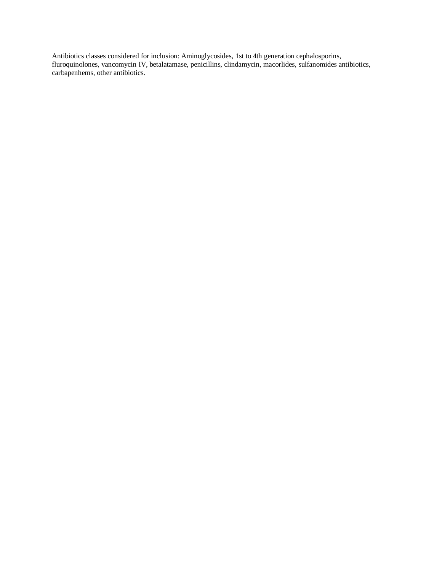Antibiotics classes considered for inclusion: Aminoglycosides, 1st to 4th generation cephalosporins, fluroquinolones, vancomycin IV, betalatamase, penicillins, clindamycin, macorlides, sulfanomides antibiotics, carbapenhems, other antibiotics.